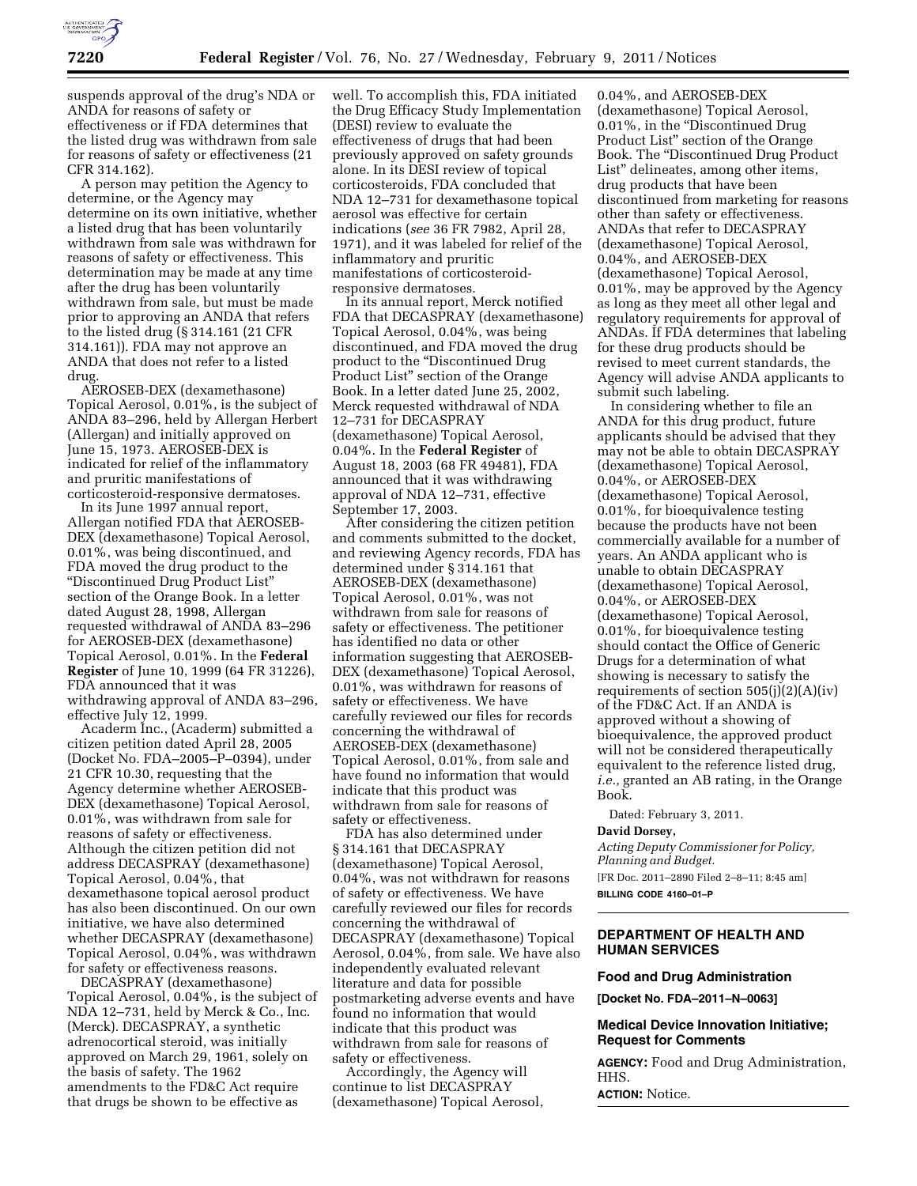

suspends approval of the drug's NDA or ANDA for reasons of safety or effectiveness or if FDA determines that the listed drug was withdrawn from sale for reasons of safety or effectiveness (21 CFR 314.162).

A person may petition the Agency to determine, or the Agency may determine on its own initiative, whether a listed drug that has been voluntarily withdrawn from sale was withdrawn for reasons of safety or effectiveness. This determination may be made at any time after the drug has been voluntarily withdrawn from sale, but must be made prior to approving an ANDA that refers to the listed drug (§ 314.161 (21 CFR 314.161)). FDA may not approve an ANDA that does not refer to a listed drug.

AEROSEB-DEX (dexamethasone) Topical Aerosol, 0.01%, is the subject of ANDA 83–296, held by Allergan Herbert (Allergan) and initially approved on June 15, 1973. AEROSEB-DEX is indicated for relief of the inflammatory and pruritic manifestations of corticosteroid-responsive dermatoses.

In its June 1997 annual report, Allergan notified FDA that AEROSEB-DEX (dexamethasone) Topical Aerosol, 0.01%, was being discontinued, and FDA moved the drug product to the ''Discontinued Drug Product List'' section of the Orange Book. In a letter dated August 28, 1998, Allergan requested withdrawal of ANDA 83–296 for AEROSEB-DEX (dexamethasone) Topical Aerosol, 0.01%. In the **Federal Register** of June 10, 1999 (64 FR 31226), FDA announced that it was withdrawing approval of ANDA 83–296, effective July 12, 1999.

Acaderm Inc., (Acaderm) submitted a citizen petition dated April 28, 2005 (Docket No. FDA–2005–P–0394), under 21 CFR 10.30, requesting that the Agency determine whether AEROSEB-DEX (dexamethasone) Topical Aerosol, 0.01%, was withdrawn from sale for reasons of safety or effectiveness. Although the citizen petition did not address DECASPRAY (dexamethasone) Topical Aerosol, 0.04%, that dexamethasone topical aerosol product has also been discontinued. On our own initiative, we have also determined whether DECASPRAY (dexamethasone) Topical Aerosol, 0.04%, was withdrawn for safety or effectiveness reasons.

DECASPRAY (dexamethasone) Topical Aerosol, 0.04%, is the subject of NDA 12–731, held by Merck & Co., Inc. (Merck). DECASPRAY, a synthetic adrenocortical steroid, was initially approved on March 29, 1961, solely on the basis of safety. The 1962 amendments to the FD&C Act require that drugs be shown to be effective as

well. To accomplish this, FDA initiated the Drug Efficacy Study Implementation (DESI) review to evaluate the effectiveness of drugs that had been previously approved on safety grounds alone. In its DESI review of topical corticosteroids, FDA concluded that NDA 12–731 for dexamethasone topical aerosol was effective for certain indications (*see* 36 FR 7982, April 28, 1971), and it was labeled for relief of the inflammatory and pruritic manifestations of corticosteroidresponsive dermatoses.

In its annual report, Merck notified FDA that DECASPRAY (dexamethasone) Topical Aerosol, 0.04%, was being discontinued, and FDA moved the drug product to the ''Discontinued Drug Product List" section of the Orange Book. In a letter dated June 25, 2002, Merck requested withdrawal of NDA 12–731 for DECASPRAY (dexamethasone) Topical Aerosol, 0.04%. In the **Federal Register** of August 18, 2003 (68 FR 49481), FDA announced that it was withdrawing approval of NDA 12–731, effective September 17, 2003.

After considering the citizen petition and comments submitted to the docket, and reviewing Agency records, FDA has determined under § 314.161 that AEROSEB-DEX (dexamethasone) Topical Aerosol, 0.01%, was not withdrawn from sale for reasons of safety or effectiveness. The petitioner has identified no data or other information suggesting that AEROSEB-DEX (dexamethasone) Topical Aerosol, 0.01%, was withdrawn for reasons of safety or effectiveness. We have carefully reviewed our files for records concerning the withdrawal of AEROSEB-DEX (dexamethasone) Topical Aerosol, 0.01%, from sale and have found no information that would indicate that this product was withdrawn from sale for reasons of safety or effectiveness.

FDA has also determined under § 314.161 that DECASPRAY (dexamethasone) Topical Aerosol, 0.04%, was not withdrawn for reasons of safety or effectiveness. We have carefully reviewed our files for records concerning the withdrawal of DECASPRAY (dexamethasone) Topical Aerosol, 0.04%, from sale. We have also independently evaluated relevant literature and data for possible postmarketing adverse events and have found no information that would indicate that this product was withdrawn from sale for reasons of safety or effectiveness.

Accordingly, the Agency will continue to list DECASPRAY (dexamethasone) Topical Aerosol,

0.04%, and AEROSEB-DEX (dexamethasone) Topical Aerosol, 0.01%, in the ''Discontinued Drug Product List'' section of the Orange Book. The ''Discontinued Drug Product List'' delineates, among other items, drug products that have been discontinued from marketing for reasons other than safety or effectiveness. ANDAs that refer to DECASPRAY (dexamethasone) Topical Aerosol, 0.04%, and AEROSEB-DEX (dexamethasone) Topical Aerosol, 0.01%, may be approved by the Agency as long as they meet all other legal and regulatory requirements for approval of ANDAs. If FDA determines that labeling for these drug products should be revised to meet current standards, the Agency will advise ANDA applicants to submit such labeling.

In considering whether to file an ANDA for this drug product, future applicants should be advised that they may not be able to obtain DECASPRAY (dexamethasone) Topical Aerosol, 0.04%, or AEROSEB-DEX (dexamethasone) Topical Aerosol, 0.01%, for bioequivalence testing because the products have not been commercially available for a number of years. An ANDA applicant who is unable to obtain DECASPRAY (dexamethasone) Topical Aerosol, 0.04%, or AEROSEB-DEX (dexamethasone) Topical Aerosol, 0.01%, for bioequivalence testing should contact the Office of Generic Drugs for a determination of what showing is necessary to satisfy the requirements of section  $505(j)(2)(A)(iv)$ of the FD&C Act. If an ANDA is approved without a showing of bioequivalence, the approved product will not be considered therapeutically equivalent to the reference listed drug, *i.e.,* granted an AB rating, in the Orange Book.

Dated: February 3, 2011.

# **David Dorsey,**

*Acting Deputy Commissioner for Policy, Planning and Budget.*  [FR Doc. 2011–2890 Filed 2–8–11; 8:45 am]

**BILLING CODE 4160–01–P** 

### **DEPARTMENT OF HEALTH AND HUMAN SERVICES**

### **Food and Drug Administration**

**[Docket No. FDA–2011–N–0063]** 

# **Medical Device Innovation Initiative; Request for Comments**

**AGENCY:** Food and Drug Administration, HHS.

**ACTION:** Notice.